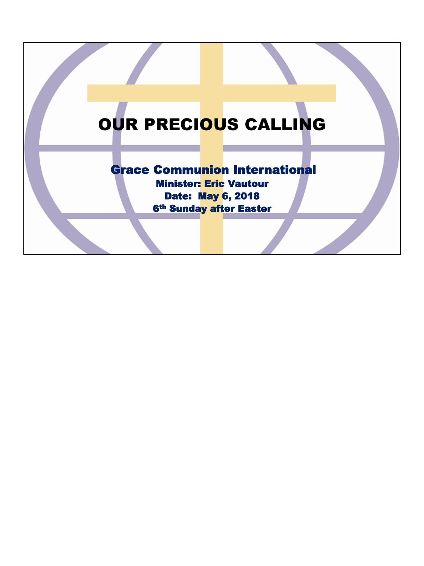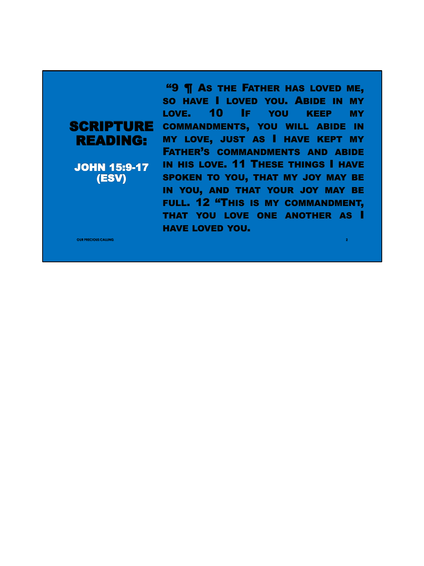## READING:

JOHN 15:9-17 (ESV)

**SCRIPTURE** COMMANDMENTS, YOU WILL ABIDE IN "9 ¶ AS THE FATHER HAS LOVED ME, SO HAVE I LOVED YOU. ABIDE IN MY LOVE. 10 IF YOU KEEP MY MY LOVE, JUST AS I HAVE KEPT MY FATHER'S COMMANDMENTS AND ABIDE IN HIS LOVE. 11 THESE THINGS I HAVE SPOKEN TO YOU, THAT MY JOY MAY BE IN YOU, AND THAT YOUR JOY MAY BE FULL. 12 "THIS IS MY COMMANDMENT, THAT YOU LOVE ONE ANOTHER AS I HAVE LOVED YOU.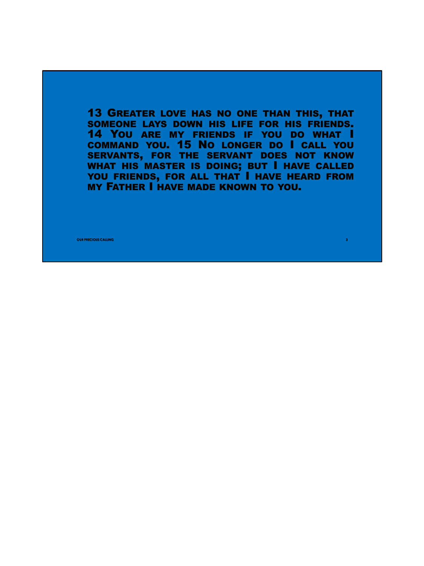13 GREATER LOVE HAS NO ONE THAN THIS, THAT SOMEONE LAYS DOWN HIS LIFE FOR HIS FRIENDS. 14 YOU ARE MY FRIENDS IF YOU DO WHAT I COMMAND YOU. 15 NO LONGER DO I CALL YOU SERVANTS, FOR THE SERVANT DOES NOT KNOW WHAT HIS MASTER IS DOING; BUT I HAVE CALLED YOU FRIENDS, FOR ALL THAT I HAVE HEARD FROM MY FATHER I HAVE MADE KNOWN TO YOU.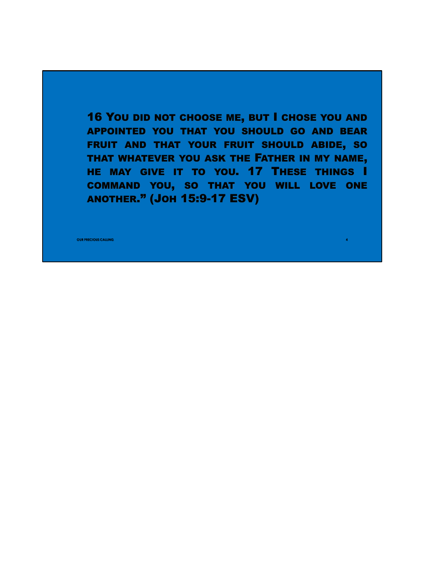16 YOU DID NOT CHOOSE ME, BUT I CHOSE YOU AND APPOINTED YOU THAT YOU SHOULD GO AND BEAR FRUIT AND THAT YOUR FRUIT SHOULD ABIDE, SO THAT WHATEVER YOU ASK THE FATHER IN MY NAME, HE MAY GIVE IT TO YOU. 17 THESE THINGS I COMMAND YOU, SO THAT YOU WILL LOVE ONE ANOTHER." (JOH 15:9-17 ESV)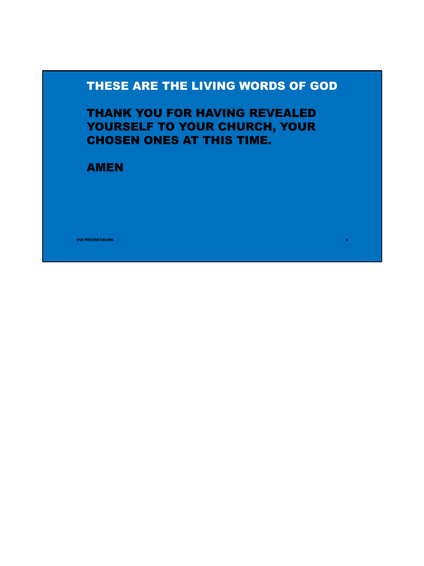## THESE ARE THE LIVING WORDS OF GOD

**5**

THANK YOU FOR HAVING REVEALED YOURSELF TO YOUR CHURCH, YOUR CHOSEN ONES AT THIS TIME.

AMEN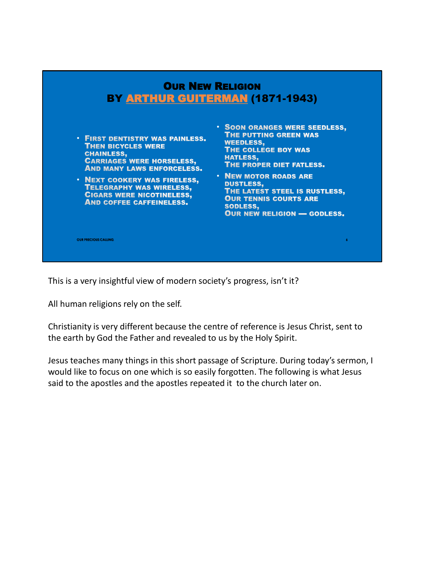

This is a very insightful view of modern society's progress, isn't it?

All human religions rely on the self.

Christianity is very different because the centre of reference is Jesus Christ, sent to the earth by God the Father and revealed to us by the Holy Spirit.

Jesus teaches many things in this short passage of Scripture. During today's sermon, I would like to focus on one which is so easily forgotten. The following is what Jesus said to the apostles and the apostles repeated it to the church later on.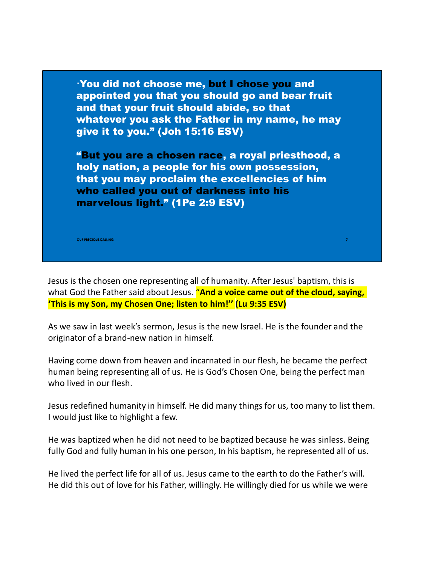

Jesus is the chosen one representing all of humanity. After Jesus' baptism, this is what God the Father said about Jesus. "**And a voice came out of the cloud, saying, 'This is my Son, my Chosen One; listen to him!'' (Lu 9:35 ESV)**

As we saw in last week's sermon, Jesus is the new Israel. He is the founder and the originator of a brand-new nation in himself.

Having come down from heaven and incarnated in our flesh, he became the perfect human being representing all of us. He is God's Chosen One, being the perfect man who lived in our flesh.

Jesus redefined humanity in himself. He did many things for us, too many to list them. I would just like to highlight a few.

He was baptized when he did not need to be baptized because he was sinless. Being fully God and fully human in his one person, In his baptism, he represented all of us.

He lived the perfect life for all of us. Jesus came to the earth to do the Father's will. He did this out of love for his Father, willingly. He willingly died for us while we were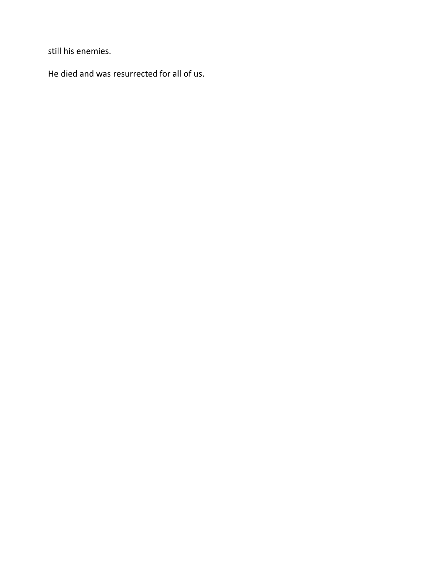still his enemies.

He died and was resurrected for all of us.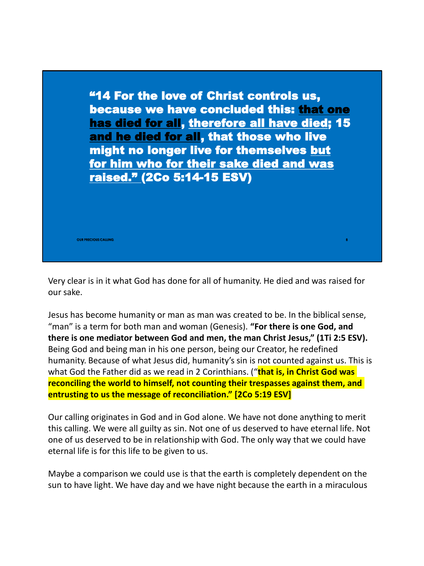

Very clear is in it what God has done for all of humanity. He died and was raised for our sake.

Jesus has become humanity or man as man was created to be. In the biblical sense, "man" is a term for both man and woman (Genesis). **"For there is one God, and there is one mediator between God and men, the man Christ Jesus," (1Ti 2:5 ESV).**  Being God and being man in his one person, being our Creator, he redefined humanity. Because of what Jesus did, humanity's sin is not counted against us. This is what God the Father did as we read in 2 Corinthians. ("**that is, in Christ God was reconciling the world to himself, not counting their trespasses against them, and entrusting to us the message of reconciliation." [2Co 5:19 ESV]**

Our calling originates in God and in God alone. We have not done anything to merit this calling. We were all guilty as sin. Not one of us deserved to have eternal life. Not one of us deserved to be in relationship with God. The only way that we could have eternal life is for this life to be given to us.

Maybe a comparison we could use is that the earth is completely dependent on the sun to have light. We have day and we have night because the earth in a miraculous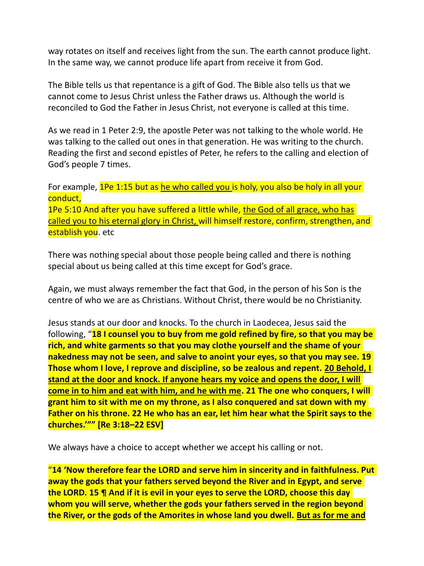way rotates on itself and receives light from the sun. The earth cannot produce light. In the same way, we cannot produce life apart from receive it from God.

The Bible tells us that repentance is a gift of God. The Bible also tells us that we cannot come to Jesus Christ unless the Father draws us. Although the world is reconciled to God the Father in Jesus Christ, not everyone is called at this time.

As we read in 1 Peter 2:9, the apostle Peter was not talking to the whole world. He was talking to the called out ones in that generation. He was writing to the church. Reading the first and second epistles of Peter, he refers to the calling and election of God's people 7 times.

For example, 1Pe 1:15 but as he who called you is holy, you also be holy in all your conduct, 1Pe 5:10 And after you have suffered a little while, the God of all grace, who has called you to his eternal glory in Christ, will himself restore, confirm, strengthen, and establish you. etc

There was nothing special about those people being called and there is nothing special about us being called at this time except for God's grace.

Again, we must always remember the fact that God, in the person of his Son is the centre of who we are as Christians. Without Christ, there would be no Christianity.

Jesus stands at our door and knocks. To the church in Laodecea, Jesus said the following, "**18 I counsel you to buy from me gold refined by fire, so that you may be rich, and white garments so that you may clothe yourself and the shame of your nakedness may not be seen, and salve to anoint your eyes, so that you may see. 19 Those whom I love, I reprove and discipline, so be zealous and repent. 20 Behold, I stand at the door and knock. If anyone hears my voice and opens the door, I will come in to him and eat with him, and he with me. 21 The one who conquers, I will grant him to sit with me on my throne, as I also conquered and sat down with my Father on his throne. 22 He who has an ear, let him hear what the Spirit says to the churches.'"" [Re 3:18–22 ESV]**

We always have a choice to accept whether we accept his calling or not.

"**14 'Now therefore fear the LORD and serve him in sincerity and in faithfulness. Put away the gods that your fathers served beyond the River and in Egypt, and serve the LORD. 15 ¶ And if it is evil in your eyes to serve the LORD, choose this day whom you will serve, whether the gods your fathers served in the region beyond the River, or the gods of the Amorites in whose land you dwell. But as for me and**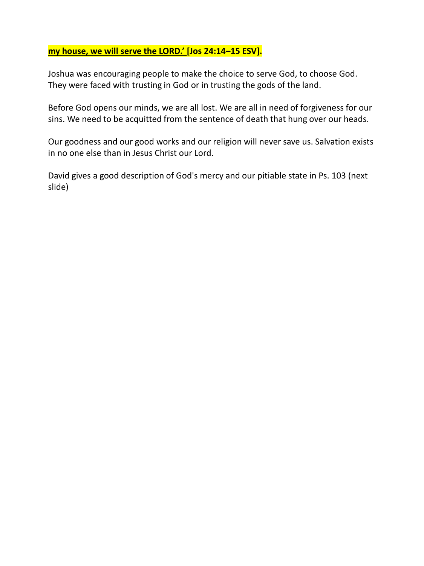## **my house, we will serve the LORD.' [Jos 24:14–15 ESV].**

Joshua was encouraging people to make the choice to serve God, to choose God. They were faced with trusting in God or in trusting the gods of the land.

Before God opens our minds, we are all lost. We are all in need of forgiveness for our sins. We need to be acquitted from the sentence of death that hung over our heads.

Our goodness and our good works and our religion will never save us. Salvation exists in no one else than in Jesus Christ our Lord.

David gives a good description of God's mercy and our pitiable state in Ps. 103 (next slide)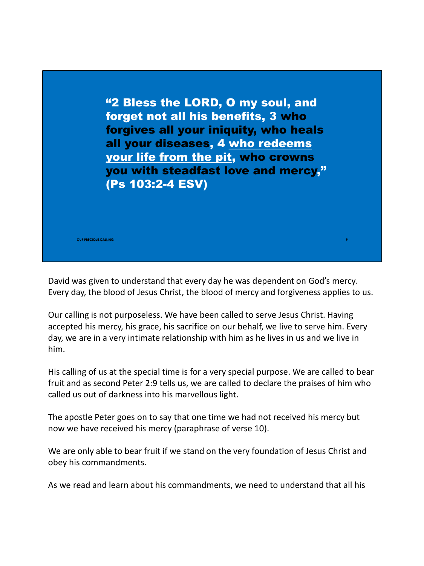

David was given to understand that every day he was dependent on God's mercy. Every day, the blood of Jesus Christ, the blood of mercy and forgiveness applies to us.

Our calling is not purposeless. We have been called to serve Jesus Christ. Having accepted his mercy, his grace, his sacrifice on our behalf, we live to serve him. Every day, we are in a very intimate relationship with him as he lives in us and we live in him.

His calling of us at the special time is for a very special purpose. We are called to bear fruit and as second Peter 2:9 tells us, we are called to declare the praises of him who called us out of darkness into his marvellous light.

The apostle Peter goes on to say that one time we had not received his mercy but now we have received his mercy (paraphrase of verse 10).

We are only able to bear fruit if we stand on the very foundation of Jesus Christ and obey his commandments.

As we read and learn about his commandments, we need to understand that all his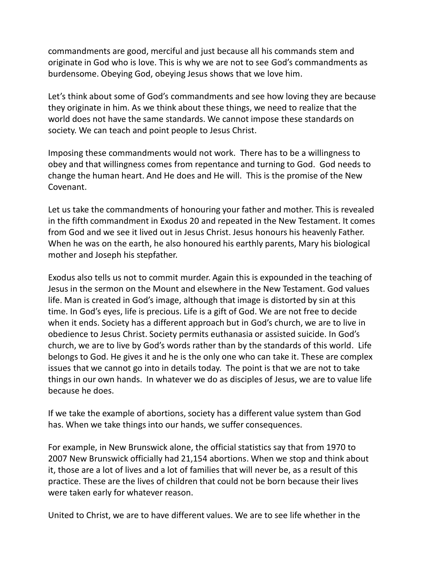commandments are good, merciful and just because all his commands stem and originate in God who is love. This is why we are not to see God's commandments as burdensome. Obeying God, obeying Jesus shows that we love him.

Let's think about some of God's commandments and see how loving they are because they originate in him. As we think about these things, we need to realize that the world does not have the same standards. We cannot impose these standards on society. We can teach and point people to Jesus Christ.

Imposing these commandments would not work. There has to be a willingness to obey and that willingness comes from repentance and turning to God. God needs to change the human heart. And He does and He will. This is the promise of the New Covenant.

Let us take the commandments of honouring your father and mother. This is revealed in the fifth commandment in Exodus 20 and repeated in the New Testament. It comes from God and we see it lived out in Jesus Christ. Jesus honours his heavenly Father. When he was on the earth, he also honoured his earthly parents, Mary his biological mother and Joseph his stepfather.

Exodus also tells us not to commit murder. Again this is expounded in the teaching of Jesus in the sermon on the Mount and elsewhere in the New Testament. God values life. Man is created in God's image, although that image is distorted by sin at this time. In God's eyes, life is precious. Life is a gift of God. We are not free to decide when it ends. Society has a different approach but in God's church, we are to live in obedience to Jesus Christ. Society permits euthanasia or assisted suicide. In God's church, we are to live by God's words rather than by the standards of this world. Life belongs to God. He gives it and he is the only one who can take it. These are complex issues that we cannot go into in details today. The point is that we are not to take things in our own hands. In whatever we do as disciples of Jesus, we are to value life because he does.

If we take the example of abortions, society has a different value system than God has. When we take things into our hands, we suffer consequences.

For example, in New Brunswick alone, the official statistics say that from 1970 to 2007 New Brunswick officially had 21,154 abortions. When we stop and think about it, those are a lot of lives and a lot of families that will never be, as a result of this practice. These are the lives of children that could not be born because their lives were taken early for whatever reason.

United to Christ, we are to have different values. We are to see life whether in the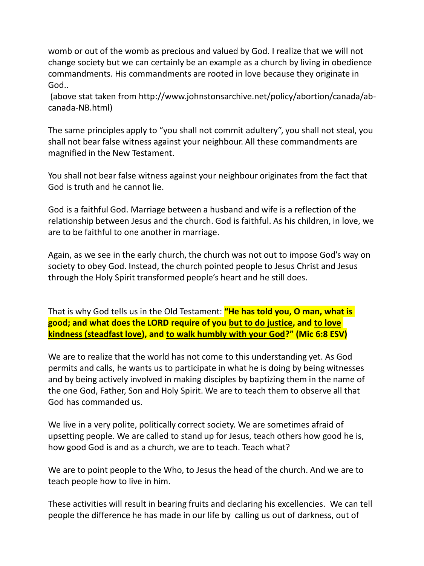womb or out of the womb as precious and valued by God. I realize that we will not change society but we can certainly be an example as a church by living in obedience commandments. His commandments are rooted in love because they originate in God..

(above stat taken from http://www.johnstonsarchive.net/policy/abortion/canada/abcanada-NB.html)

The same principles apply to "you shall not commit adultery", you shall not steal, you shall not bear false witness against your neighbour. All these commandments are magnified in the New Testament.

You shall not bear false witness against your neighbour originates from the fact that God is truth and he cannot lie.

God is a faithful God. Marriage between a husband and wife is a reflection of the relationship between Jesus and the church. God is faithful. As his children, in love, we are to be faithful to one another in marriage.

Again, as we see in the early church, the church was not out to impose God's way on society to obey God. Instead, the church pointed people to Jesus Christ and Jesus through the Holy Spirit transformed people's heart and he still does.

That is why God tells us in the Old Testament: **"He has told you, O man, what is good; and what does the LORD require of you but to do justice, and to love kindness (steadfast love), and to walk humbly with your God?" (Mic 6:8 ESV)**

We are to realize that the world has not come to this understanding yet. As God permits and calls, he wants us to participate in what he is doing by being witnesses and by being actively involved in making disciples by baptizing them in the name of the one God, Father, Son and Holy Spirit. We are to teach them to observe all that God has commanded us.

We live in a very polite, politically correct society. We are sometimes afraid of upsetting people. We are called to stand up for Jesus, teach others how good he is, how good God is and as a church, we are to teach. Teach what?

We are to point people to the Who, to Jesus the head of the church. And we are to teach people how to live in him.

These activities will result in bearing fruits and declaring his excellencies. We can tell people the difference he has made in our life by calling us out of darkness, out of